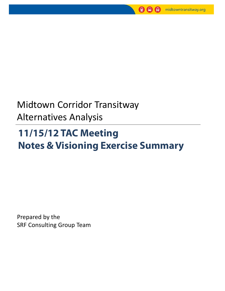

## Midtown Corridor Transitway Alternatives Analysis

## **11/15/12 TAC Meeting Notes & Visioning Exercise Summary**

Prepared by the SRF Consulting Group Team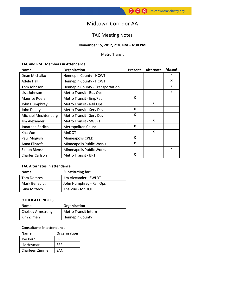### Midtown Corridor AA

### TAC Meeting Notes

#### **November 15, 2012, 2:30 PM – 4:30 PM**

#### Metro Transit

#### **TAC and PMT Members in Attendance**

| <b>Name</b>            | Organization                     | Present | <b>Alternate</b> | <b>Absent</b> |
|------------------------|----------------------------------|---------|------------------|---------------|
| Dean Michalko          | Hennepin County - HCWT           |         |                  | X             |
| Adele Hall             | Hennepin County - HCWT           |         |                  | X             |
| Tom Johnson            | Hennepin County - Transportation |         |                  | X             |
| Lisa Johnson           | Metro Transit - Bus Ops          |         | X                |               |
| <b>Maurice Roers</b>   | Metro Transit - Eng/Fac          | X       |                  |               |
| John Humphrey          | Metro Transit - Rail Ops         |         | X                |               |
| John Dillery           | <b>Metro Transit - Serv Dev</b>  | X       |                  |               |
| Michael Mechtenberg    | Metro Transit - Serv Dev         | X       |                  |               |
| Jim Alexander          | <b>Metro Transit - SWLRT</b>     |         | X                |               |
| Jonathan Ehrlich       | Metropolitan Council             | X       |                  |               |
| Kha Vue                | <b>MnDOT</b>                     |         | X                |               |
| Paul Mogush            | Minneapolis CPED                 | X       |                  |               |
| Anna Flintoft          | Minneapolis Public Works         | X       |                  |               |
| Simon Blenski          | Minneapolis Public Works         |         |                  | X             |
| <b>Charles Carlson</b> | <b>Metro Transit - BRT</b>       | X       |                  |               |

#### **TAC Alternates in attendance**

| <b>Name</b>       | Substituting for:        |  |
|-------------------|--------------------------|--|
| <b>Tom Domres</b> | Jim Alexander - SWLRT    |  |
| Mark Benedict     | John Humphrey - Rail Ops |  |
| Gina Mitteco      | Kha Vue - MnDOT          |  |

#### **OTHER ATTENDEES**

| <b>Name</b>              | Organization                |
|--------------------------|-----------------------------|
| <b>Chelsey Armstrong</b> | <b>Metro Transit Intern</b> |
| Kim Zlimen               | <b>Hennepin County</b>      |

#### **Consultants in attendance**

| <b>Name</b>     | Organization |  |
|-----------------|--------------|--|
| Joe Kern        | <b>SRF</b>   |  |
| Liz Heyman      | <b>SRF</b>   |  |
| Charleen Zimmer | 7AN          |  |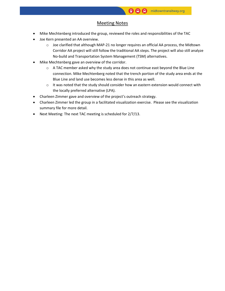#### Meeting Notes

- Mike Mechtenberg introduced the group, reviewed the roles and responsibilities of the TAC
- Joe Kern presented an AA overview.
	- o Joe clarified that although MAP-21 no longer requires an official AA process, the Midtown Corridor AA project will still follow the traditional AA steps. The project will also still analyze No-build and Transportation System Management (TSM) alternatives.
- Mike Mechtenberg gave an overview of the corridor.
	- $\circ$  A TAC member asked why the study area does not continue east beyond the Blue Line connection. Mike Mechtenberg noted that the trench portion of the study area ends at the Blue Line and land use becomes less dense in this area as well.
	- o It was noted that the study should consider how an eastern extension would connect with the locally preferred alternative (LPA).
- Charleen Zimmer gave and overview of the project's outreach strategy.
- Charleen Zimmer led the group in a facilitated visualization exercise. Please see the visualization summary file for more detail.
- Next Meeting: The next TAC meeting is scheduled for 2/7/13.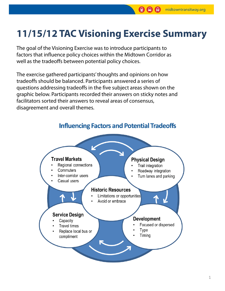## **11/15/12 TAC Visioning Exercise Summary**

The goal of the Visioning Exercise was to introduce participants to factors that influence policy choices within the Midtown Corridor as well as the tradeoffs between potential policy choices.

The exercise gathered participants' thoughts and opinions on how tradeoffs should be balanced. Participants answered a series of questions addressing tradeoffs in the five subject areas shown on the graphic below. Participants recorded their answers on sticky notes and facilitators sorted their answers to reveal areas of consensus, disagreement and overall themes.



**Influencing Factors and Potential Tradeoffs**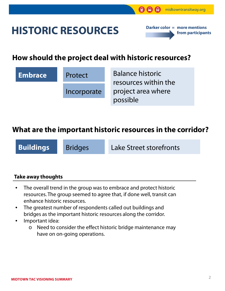## **HISTORIC RESOURCES**



### **How should the project deal with historic resources?**

# **Embrace** Protect Incorporate

Balance historic resources within the project area where possible

### **What are the important historic resources in the corridor?**

**Buildings** Bridges Lake Street storefronts

### **Take away thoughts**

- The overall trend in the group was to embrace and protect historic resources. The group seemed to agree that, if done well, transit can enhance historic resources.
- The greatest number of respondents called out buildings and bridges as the important historic resources along the corridor.
- Important idea:
	- Need to consider the effect historic bridge maintenance may have on on-going operations.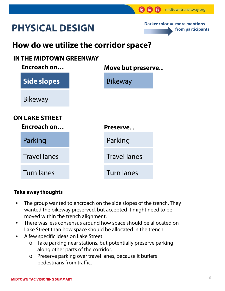## **PHYSICAL DESIGN**



## **How do we utilize the corridor space?**

### **IN THE MIDTOWN GREENWAY**

| Move but preserve |
|-------------------|
|                   |
|                   |
|                   |
|                   |
|                   |
|                   |
|                   |

### **Take away thoughts**

- The group wanted to encroach on the side slopes of the trench. They wanted the bikeway preserved, but accepted it might need to be moved within the trench alignment.
- There was less consensus around how space should be allocated on Lake Street than how space should be allocated in the trench.
- A few specific ideas on Lake Street:
	- o Take parking near stations, but potentially preserve parking along other parts of the corridor.
	- o Preserve parking over travel lanes, because it buffers pedestrians from traffic.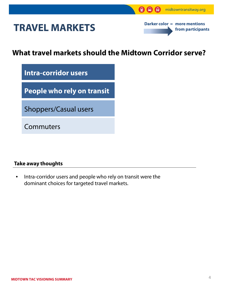## **TRAVEL MARKETS**



### **What travel markets should the Midtown Corridor serve?**

**Intra-corridor users**

**People who rely on transit**

Shoppers/Casual users

Commuters

### **Take away thoughts**

• Intra-corridor users and people who rely on transit were the dominant choices for targeted travel markets.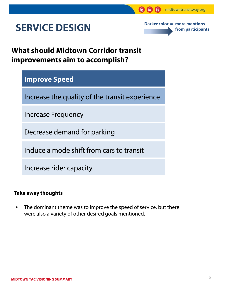## **SERVICE DESIGN**

**Darker color = more mentions from participants**

ଭ

### **What should Midtown Corridor transit improvements aim to accomplish?**

### **Improve Speed**

Increase the quality of the transit experience

Increase Frequency

Decrease demand for parking

Induce a mode shift from cars to transit

Increase rider capacity

### **Take away thoughts**

• The dominant theme was to improve the speed of service, but there were also a variety of other desired goals mentioned.